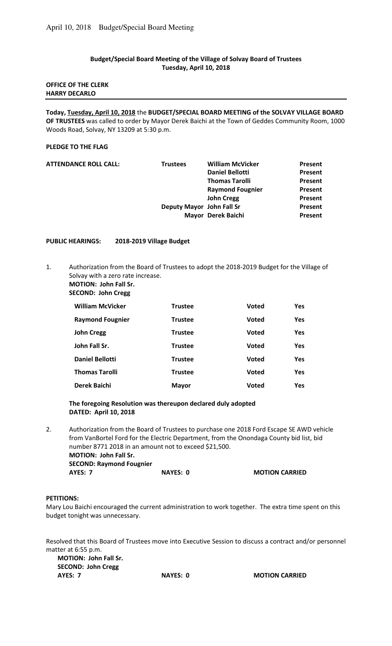# **Budget/Special Board Meeting of the Village of Solvay Board of Trustees Tuesday, April 10, 2018**

# **OFFICE OF THE CLERK HARRY DECARLO**

**Today, Tuesday, April 10, 2018** the **BUDGET/SPECIAL BOARD MEETING of the SOLVAY VILLAGE BOARD OF TRUSTEES** was called to order by Mayor Derek Baichi at the Town of Geddes Community Room, 1000 Woods Road, Solvay, NY 13209 at 5:30 p.m.

# **PLEDGE TO THE FLAG**

| <b>ATTENDANCE ROLL CALL:</b> | <b>Trustees</b>           | <b>William McVicker</b> | Present |
|------------------------------|---------------------------|-------------------------|---------|
|                              |                           | <b>Daniel Bellotti</b>  | Present |
|                              |                           | <b>Thomas Tarolli</b>   | Present |
|                              |                           | <b>Raymond Fougnier</b> | Present |
|                              |                           | <b>John Cregg</b>       | Present |
|                              | Deputy Mayor John Fall Sr |                         | Present |
|                              |                           | Mayor Derek Baichi      | Present |
|                              |                           |                         |         |

### **PUBLIC HEARINGS: 2018-2019 Village Budget**

1. Authorization from the Board of Trustees to adopt the 2018-2019 Budget for the Village of Solvay with a zero rate increase.

**MOTION: John Fall Sr.** 

 **SECOND: John Cregg** 

| <b>William McVicker</b> | Trustee        | <b>Voted</b> | <b>Yes</b> |
|-------------------------|----------------|--------------|------------|
| <b>Raymond Fougnier</b> | Trustee        | <b>Voted</b> | <b>Yes</b> |
| <b>John Cregg</b>       | <b>Trustee</b> | <b>Voted</b> | <b>Yes</b> |
| John Fall Sr.           | <b>Trustee</b> | <b>Voted</b> | <b>Yes</b> |
| <b>Daniel Bellotti</b>  | <b>Trustee</b> | <b>Voted</b> | <b>Yes</b> |
| <b>Thomas Tarolli</b>   | Trustee        | <b>Voted</b> | <b>Yes</b> |
| Derek Baichi            | <b>Mayor</b>   | <b>Voted</b> | <b>Yes</b> |

# **The foregoing Resolution was thereupon declared duly adopted DATED: April 10, 2018**

2. Authorization from the Board of Trustees to purchase one 2018 Ford Escape SE AWD vehicle from VanBortel Ford for the Electric Department, from the Onondaga County bid list, bid number 8771 2018 in an amount not to exceed \$21,500.  **MOTION: John Fall Sr. SECOND: Raymond Fougnier AYES: 7** NAYES: 0 MOTION CARRIED

# **PETITIONS:**

Mary Lou Baichi encouraged the current administration to work together. The extra time spent on this budget tonight was unnecessary.

Resolved that this Board of Trustees move into Executive Session to discuss a contract and/or personnel matter at 6:55 p.m.

**MOTION: John Fall Sr. SECOND: John Cregg AYES: 7 NAYES: 0 MOTION CARRIED**